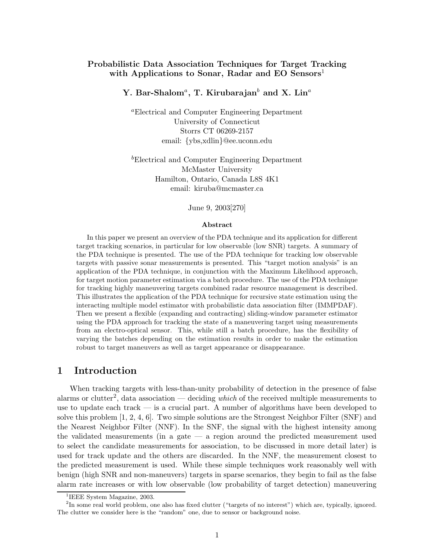# Probabilistic Data Association Techniques for Target Tracking with Applications to Sonar, Radar and EO Sensors<sup>1</sup>

# Y. Bar-Shalom $^a$ , T. Kirubarajan $^b$  and X. Lin $^a$

<sup>a</sup>Electrical and Computer Engineering Department University of Connecticut Storrs CT 06269-2157 email: {ybs,xdlin}@ee.uconn.edu

<sup>b</sup>Electrical and Computer Engineering Department McMaster University Hamilton, Ontario, Canada L8S 4K1 email: kiruba@mcmaster.ca

June 9, 2003[270]

#### Abstract

In this paper we present an overview of the PDA technique and its application for different target tracking scenarios, in particular for low observable (low SNR) targets. A summary of the PDA technique is presented. The use of the PDA technique for tracking low observable targets with passive sonar measurements is presented. This "target motion analysis" is an application of the PDA technique, in conjunction with the Maximum Likelihood approach, for target motion parameter estimation via a batch procedure. The use of the PDA technique for tracking highly maneuvering targets combined radar resource management is described. This illustrates the application of the PDA technique for recursive state estimation using the interacting multiple model estimator with probabilistic data association filter (IMMPDAF). Then we present a flexible (expanding and contracting) sliding-window parameter estimator using the PDA approach for tracking the state of a maneuvering target using measurements from an electro-optical sensor. This, while still a batch procedure, has the flexibility of varying the batches depending on the estimation results in order to make the estimation robust to target maneuvers as well as target appearance or disappearance.

# 1 Introduction

When tracking targets with less-than-unity probability of detection in the presence of false alarms or clutter<sup>2</sup>, data association — deciding which of the received multiple measurements to use to update each track — is a crucial part. A number of algorithms have been developed to solve this problem  $[1, 2, 4, 6]$ . Two simple solutions are the Strongest Neighbor Filter (SNF) and the Nearest Neighbor Filter (NNF). In the SNF, the signal with the highest intensity among the validated measurements (in a gate — a region around the predicted measurement used to select the candidate measurements for association, to be discussed in more detail later) is used for track update and the others are discarded. In the NNF, the measurement closest to the predicted measurement is used. While these simple techniques work reasonably well with benign (high SNR and non-maneuvers) targets in sparse scenarios, they begin to fail as the false alarm rate increases or with low observable (low probability of target detection) maneuvering

<sup>&</sup>lt;sup>1</sup>IEEE System Magazine, 2003.

<sup>&</sup>lt;sup>2</sup>In some real world problem, one also has fixed clutter ("targets of no interest") which are, typically, ignored. The clutter we consider here is the "random" one, due to sensor or background noise.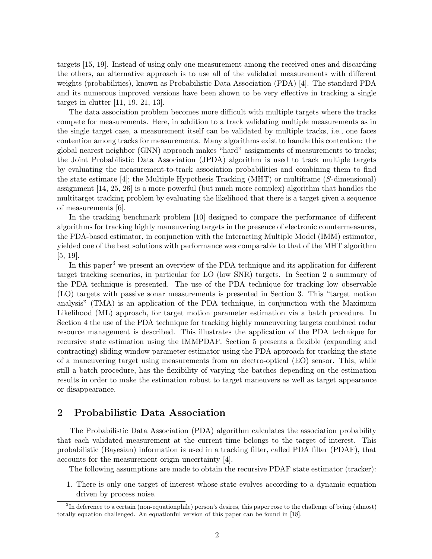targets [15, 19]. Instead of using only one measurement among the received ones and discarding the others, an alternative approach is to use all of the validated measurements with different weights (probabilities), known as Probabilistic Data Association (PDA) [4]. The standard PDA and its numerous improved versions have been shown to be very effective in tracking a single target in clutter [11, 19, 21, 13].

The data association problem becomes more difficult with multiple targets where the tracks compete for measurements. Here, in addition to a track validating multiple measurements as in the single target case, a measurement itself can be validated by multiple tracks, i.e., one faces contention among tracks for measurements. Many algorithms exist to handle this contention: the global nearest neighbor (GNN) approach makes "hard" assignments of measurements to tracks; the Joint Probabilistic Data Association (JPDA) algorithm is used to track multiple targets by evaluating the measurement-to-track association probabilities and combining them to find the state estimate [4]; the Multiple Hypothesis Tracking (MHT) or multiframe (S-dimensional) assignment [14, 25, 26] is a more powerful (but much more complex) algorithm that handles the multitarget tracking problem by evaluating the likelihood that there is a target given a sequence of measurements [6].

In the tracking benchmark problem [10] designed to compare the performance of different algorithms for tracking highly maneuvering targets in the presence of electronic countermeasures, the PDA-based estimator, in conjunction with the Interacting Multiple Model (IMM) estimator, yielded one of the best solutions with performance was comparable to that of the MHT algorithm [5, 19].

In this paper<sup>3</sup> we present an overview of the PDA technique and its application for different target tracking scenarios, in particular for LO (low SNR) targets. In Section 2 a summary of the PDA technique is presented. The use of the PDA technique for tracking low observable (LO) targets with passive sonar measurements is presented in Section 3. This "target motion analysis" (TMA) is an application of the PDA technique, in conjunction with the Maximum Likelihood (ML) approach, for target motion parameter estimation via a batch procedure. In Section 4 the use of the PDA technique for tracking highly maneuvering targets combined radar resource management is described. This illustrates the application of the PDA technique for recursive state estimation using the IMMPDAF. Section 5 presents a flexible (expanding and contracting) sliding-window parameter estimator using the PDA approach for tracking the state of a maneuvering target using measurements from an electro-optical (EO) sensor. This, while still a batch procedure, has the flexibility of varying the batches depending on the estimation results in order to make the estimation robust to target maneuvers as well as target appearance or disappearance.

# 2 Probabilistic Data Association

The Probabilistic Data Association (PDA) algorithm calculates the association probability that each validated measurement at the current time belongs to the target of interest. This probabilistic (Bayesian) information is used in a tracking filter, called PDA filter (PDAF), that accounts for the measurement origin uncertainty [4].

The following assumptions are made to obtain the recursive PDAF state estimator (tracker):

1. There is only one target of interest whose state evolves according to a dynamic equation driven by process noise.

<sup>&</sup>lt;sup>3</sup>In deference to a certain (non-equationphile) person's desires, this paper rose to the challenge of being (almost) totally equation challenged. An equationful version of this paper can be found in [18].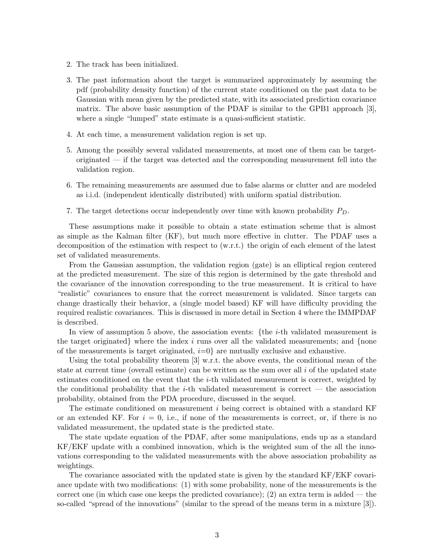- 2. The track has been initialized.
- 3. The past information about the target is summarized approximately by assuming the pdf (probability density function) of the current state conditioned on the past data to be Gaussian with mean given by the predicted state, with its associated prediction covariance matrix. The above basic assumption of the PDAF is similar to the GPB1 approach [3], where a single "lumped" state estimate is a quasi-sufficient statistic.
- 4. At each time, a measurement validation region is set up.
- 5. Among the possibly several validated measurements, at most one of them can be targetoriginated — if the target was detected and the corresponding measurement fell into the validation region.
- 6. The remaining measurements are assumed due to false alarms or clutter and are modeled as i.i.d. (independent identically distributed) with uniform spatial distribution.
- 7. The target detections occur independently over time with known probability  $P_D$ .

These assumptions make it possible to obtain a state estimation scheme that is almost as simple as the Kalman filter (KF), but much more effective in clutter. The PDAF uses a decomposition of the estimation with respect to (w.r.t.) the origin of each element of the latest set of validated measurements.

From the Gaussian assumption, the validation region (gate) is an elliptical region centered at the predicted measurement. The size of this region is determined by the gate threshold and the covariance of the innovation corresponding to the true measurement. It is critical to have "realistic" covariances to ensure that the correct measurement is validated. Since targets can change drastically their behavior, a (single model based) KF will have difficulty providing the required realistic covariances. This is discussed in more detail in Section 4 where the IMMPDAF is described.

In view of assumption 5 above, the association events: {the  $i$ -th validated measurement is the target originated} where the index  $i$  runs over all the validated measurements; and {none of the measurements is target originated,  $i=0$  are mutually exclusive and exhaustive.

Using the total probability theorem [3] w.r.t. the above events, the conditional mean of the state at current time (overall estimate) can be written as the sum over all  $i$  of the updated state estimates conditioned on the event that the  $i$ -th validated measurement is correct, weighted by the conditional probability that the  $i$ -th validated measurement is correct — the association probability, obtained from the PDA procedure, discussed in the sequel.

The estimate conditioned on measurement  $i$  being correct is obtained with a standard KF or an extended KF. For  $i = 0$ , i.e., if none of the measurements is correct, or, if there is no validated measurement, the updated state is the predicted state.

The state update equation of the PDAF, after some manipulations, ends up as a standard KF/EKF update with a combined innovation, which is the weighted sum of the all the innovations corresponding to the validated measurements with the above association probability as weightings.

The covariance associated with the updated state is given by the standard KF/EKF covariance update with two modifications: (1) with some probability, none of the measurements is the correct one (in which case one keeps the predicted covariance); (2) an extra term is added — the so-called "spread of the innovations" (similar to the spread of the means term in a mixture [3]).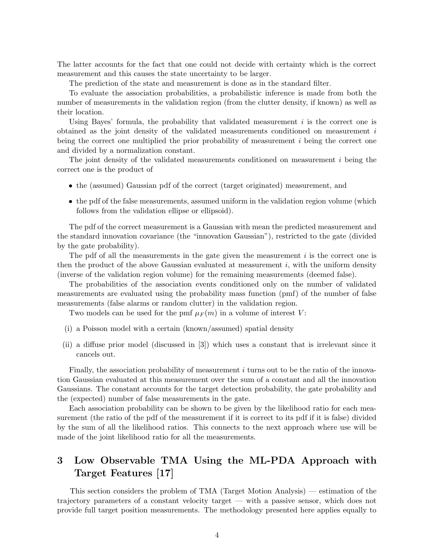The latter accounts for the fact that one could not decide with certainty which is the correct measurement and this causes the state uncertainty to be larger.

The prediction of the state and measurement is done as in the standard filter.

To evaluate the association probabilities, a probabilistic inference is made from both the number of measurements in the validation region (from the clutter density, if known) as well as their location.

Using Bayes' formula, the probability that validated measurement  $i$  is the correct one is obtained as the joint density of the validated measurements conditioned on measurement  $i$ being the correct one multiplied the prior probability of measurement  $i$  being the correct one and divided by a normalization constant.

The joint density of the validated measurements conditioned on measurement i being the correct one is the product of

- the (assumed) Gaussian pdf of the correct (target originated) measurement, and
- the pdf of the false measurements, assumed uniform in the validation region volume (which follows from the validation ellipse or ellipsoid).

The pdf of the correct measurement is a Gaussian with mean the predicted measurement and the standard innovation covariance (the "innovation Gaussian"), restricted to the gate (divided by the gate probability).

The pdf of all the measurements in the gate given the measurement  $i$  is the correct one is then the product of the above Gaussian evaluated at measurement  $i$ , with the uniform density (inverse of the validation region volume) for the remaining measurements (deemed false).

The probabilities of the association events conditioned only on the number of validated measurements are evaluated using the probability mass function (pmf) of the number of false measurements (false alarms or random clutter) in the validation region.

Two models can be used for the pmf  $\mu_F(m)$  in a volume of interest V:

- (i) a Poisson model with a certain (known/assumed) spatial density
- (ii) a diffuse prior model (discussed in [3]) which uses a constant that is irrelevant since it cancels out.

Finally, the association probability of measurement i turns out to be the ratio of the innovation Gaussian evaluated at this measurement over the sum of a constant and all the innovation Gaussians. The constant accounts for the target detection probability, the gate probability and the (expected) number of false measurements in the gate.

Each association probability can be shown to be given by the likelihood ratio for each measurement (the ratio of the pdf of the measurement if it is correct to its pdf if it is false) divided by the sum of all the likelihood ratios. This connects to the next approach where use will be made of the joint likelihood ratio for all the measurements.

# 3 Low Observable TMA Using the ML-PDA Approach with Target Features [17]

This section considers the problem of TMA (Target Motion Analysis) — estimation of the trajectory parameters of a constant velocity target — with a passive sensor, which does not provide full target position measurements. The methodology presented here applies equally to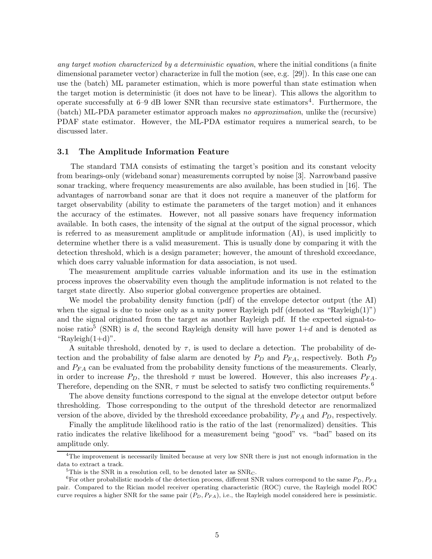any target motion characterized by a deterministic equation, where the initial conditions (a finite dimensional parameter vector) characterize in full the motion (see, e.g. [29]). In this case one can use the (batch) ML parameter estimation, which is more powerful than state estimation when the target motion is deterministic (it does not have to be linear). This allows the algorithm to operate successfully at 6–9 dB lower SNR than recursive state estimators<sup>4</sup>. Furthermore, the (batch) ML-PDA parameter estimator approach makes no approximation, unlike the (recursive) PDAF state estimator. However, the ML-PDA estimator requires a numerical search, to be discussed later.

## 3.1 The Amplitude Information Feature

The standard TMA consists of estimating the target's position and its constant velocity from bearings-only (wideband sonar) measurements corrupted by noise [3]. Narrowband passive sonar tracking, where frequency measurements are also available, has been studied in [16]. The advantages of narrowband sonar are that it does not require a maneuver of the platform for target observability (ability to estimate the parameters of the target motion) and it enhances the accuracy of the estimates. However, not all passive sonars have frequency information available. In both cases, the intensity of the signal at the output of the signal processor, which is referred to as measurement amplitude or amplitude information (AI), is used implicitly to determine whether there is a valid measurement. This is usually done by comparing it with the detection threshold, which is a design parameter; however, the amount of threshold exceedance, which does carry valuable information for data association, is not used.

The measurement amplitude carries valuable information and its use in the estimation process inproves the observability even though the amplitude information is not related to the target state directly. Also superior global convergence properties are obtained.

We model the probability density function (pdf) of the envelope detector output (the AI) when the signal is due to noise only as a unity power Rayleigh pdf (denoted as "Rayleigh $(1)$ ") and the signal originated from the target as another Rayleigh pdf. If the expected signal-tonoise ratio<sup>5</sup> (SNR) is d, the second Rayleigh density will have power  $1+d$  and is denoted as "Rayleigh $(1+d)$ ".

A suitable threshold, denoted by  $\tau$ , is used to declare a detection. The probability of detection and the probability of false alarm are denoted by  $P_D$  and  $P_{FA}$ , respectively. Both  $P_D$ and  $P_{FA}$  can be evaluated from the probability density functions of the measurements. Clearly, in order to increase  $P_D$ , the threshold  $\tau$  must be lowered. However, this also increases  $P_{FA}$ . Therefore, depending on the SNR,  $\tau$  must be selected to satisfy two conflicting requirements.<sup>6</sup>

The above density functions correspond to the signal at the envelope detector output before thresholding. Those corresponding to the output of the threshold detector are renormalized version of the above, divided by the threshold exceedance probability,  $P_{FA}$  and  $P_{D}$ , respectively.

Finally the amplitude likelihood ratio is the ratio of the last (renormalized) densities. This ratio indicates the relative likelihood for a measurement being "good" vs. "bad" based on its amplitude only.

<sup>&</sup>lt;sup>4</sup>The improvement is necessarily limited because at very low SNR there is just not enough information in the data to extract a track.

<sup>&</sup>lt;sup>5</sup>This is the SNR in a resolution cell, to be denoted later as  $SNR<sub>C</sub>$ .

<sup>&</sup>lt;sup>6</sup>For other probabilistic models of the detection process, different SNR values correspond to the same  $P_D, P_{FA}$ pair. Compared to the Rician model receiver operating characteristic (ROC) curve, the Rayleigh model ROC curve requires a higher SNR for the same pair  $(P_D, P_{FA})$ , i.e., the Rayleigh model considered here is pessimistic.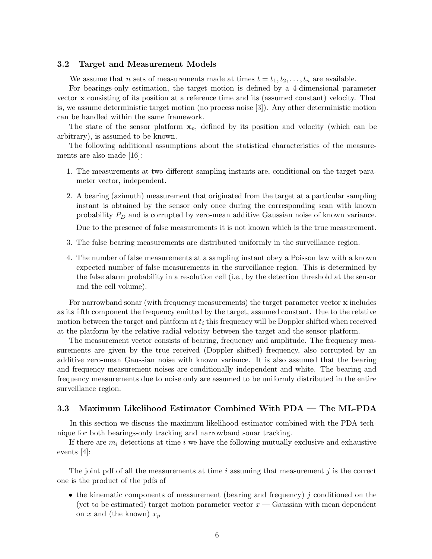## 3.2 Target and Measurement Models

We assume that *n* sets of measurements made at times  $t = t_1, t_2, \ldots, t_n$  are available.

For bearings-only estimation, the target motion is defined by a 4-dimensional parameter vector x consisting of its position at a reference time and its (assumed constant) velocity. That is, we assume deterministic target motion (no process noise [3]). Any other deterministic motion can be handled within the same framework.

The state of the sensor platform  $x_p$ , defined by its position and velocity (which can be arbitrary), is assumed to be known.

The following additional assumptions about the statistical characteristics of the measurements are also made [16]:

- 1. The measurements at two different sampling instants are, conditional on the target parameter vector, independent.
- 2. A bearing (azimuth) measurement that originated from the target at a particular sampling instant is obtained by the sensor only once during the corresponding scan with known probability  $P_D$  and is corrupted by zero-mean additive Gaussian noise of known variance.

Due to the presence of false measurements it is not known which is the true measurement.

- 3. The false bearing measurements are distributed uniformly in the surveillance region.
- 4. The number of false measurements at a sampling instant obey a Poisson law with a known expected number of false measurements in the surveillance region. This is determined by the false alarm probability in a resolution cell (i.e., by the detection threshold at the sensor and the cell volume).

For narrowband sonar (with frequency measurements) the target parameter vector x includes as its fifth component the frequency emitted by the target, assumed constant. Due to the relative motion between the target and platform at  $t_i$  this frequency will be Doppler shifted when received at the platform by the relative radial velocity between the target and the sensor platform.

The measurement vector consists of bearing, frequency and amplitude. The frequency measurements are given by the true received (Doppler shifted) frequency, also corrupted by an additive zero-mean Gaussian noise with known variance. It is also assumed that the bearing and frequency measurement noises are conditionally independent and white. The bearing and frequency measurements due to noise only are assumed to be uniformly distributed in the entire surveillance region.

# 3.3 Maximum Likelihood Estimator Combined With PDA — The ML-PDA

In this section we discuss the maximum likelihood estimator combined with the PDA technique for both bearings-only tracking and narrowband sonar tracking.

If there are  $m_i$  detections at time i we have the following mutually exclusive and exhaustive events [4]:

The joint pdf of all the measurements at time  $i$  assuming that measurement  $j$  is the correct one is the product of the pdfs of

• the kinematic components of measurement (bearing and frequency) j conditioned on the (yet to be estimated) target motion parameter vector  $x -$  Gaussian with mean dependent on x and (the known)  $x_p$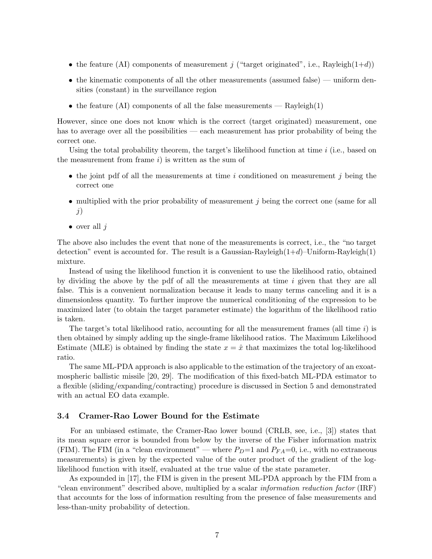- the feature (AI) components of measurement j ("target originated", i.e., Rayleigh(1+d))
- the kinematic components of all the other measurements (assumed false) uniform densities (constant) in the surveillance region
- the feature (AI) components of all the false measurements  $Rayleigh(1)$

However, since one does not know which is the correct (target originated) measurement, one has to average over all the possibilities — each measurement has prior probability of being the correct one.

Using the total probability theorem, the target's likelihood function at time  $i$  (i.e., based on the measurement from frame  $i$ ) is written as the sum of

- the joint pdf of all the measurements at time i conditioned on measurement j being the correct one
- multiplied with the prior probability of measurement  $j$  being the correct one (same for all j)
- over all  $i$

The above also includes the event that none of the measurements is correct, i.e., the "no target detection" event is accounted for. The result is a Gaussian-Rayleigh $(1+d)$ –Uniform-Rayleigh $(1)$ mixture.

Instead of using the likelihood function it is convenient to use the likelihood ratio, obtained by dividing the above by the pdf of all the measurements at time  $i$  given that they are all false. This is a convenient normalization because it leads to many terms canceling and it is a dimensionless quantity. To further improve the numerical conditioning of the expression to be maximized later (to obtain the target parameter estimate) the logarithm of the likelihood ratio is taken.

The target's total likelihood ratio, accounting for all the measurement frames (all time  $i$ ) is then obtained by simply adding up the single-frame likelihood ratios. The Maximum Likelihood Estimate (MLE) is obtained by finding the state  $x = \hat{x}$  that maximizes the total log-likelihood ratio.

The same ML-PDA approach is also applicable to the estimation of the trajectory of an exoatmospheric ballistic missile [20, 29]. The modification of this fixed-batch ML-PDA estimator to a flexible (sliding/expanding/contracting) procedure is discussed in Section 5 and demonstrated with an actual EO data example.

# 3.4 Cramer-Rao Lower Bound for the Estimate

For an unbiased estimate, the Cramer-Rao lower bound (CRLB, see, i.e., [3]) states that its mean square error is bounded from below by the inverse of the Fisher information matrix (FIM). The FIM (in a "clean environment" — where  $P_D=1$  and  $P_{FA}=0$ , i.e., with no extraneous measurements) is given by the expected value of the outer product of the gradient of the loglikelihood function with itself, evaluated at the true value of the state parameter.

As expounded in [17], the FIM is given in the present ML-PDA approach by the FIM from a "clean environment" described above, multiplied by a scalar information reduction factor (IRF) that accounts for the loss of information resulting from the presence of false measurements and less-than-unity probability of detection.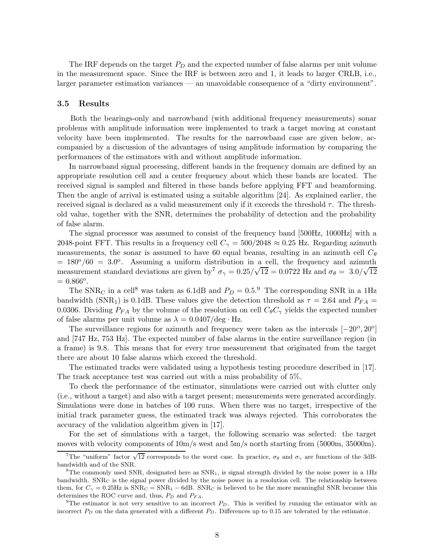The IRF depends on the target  $P_D$  and the expected number of false alarms per unit volume in the measurement space. Since the IRF is between zero and 1, it leads to larger CRLB, i.e., larger parameter estimation variances — an unavoidable consequence of a "dirty environment".

## 3.5 Results

Both the bearings-only and narrowband (with additional frequency measurements) sonar problems with amplitude information were implemented to track a target moving at constant velocity have been implemented. The results for the narrowband case are given below, accompanied by a discussion of the advantages of using amplitude information by comparing the performances of the estimators with and without amplitude information.

In narrowband signal processing, different bands in the frequency domain are defined by an appropriate resolution cell and a center frequency about which these bands are located. The received signal is sampled and filtered in these bands before applying FFT and beamforming. Then the angle of arrival is estimated using a suitable algorithm [24]. As explained earlier, the received signal is declared as a valid measurement only if it exceeds the threshold  $\tau$ . The threshold value, together with the SNR, determines the probability of detection and the probability of false alarm.

The signal processor was assumed to consist of the frequency band [500Hz, 1000Hz] with a 2048-point FFT. This results in a frequency cell  $C_{\gamma} = 500/2048 \approx 0.25$  Hz. Regarding azimuth measurements, the sonar is assumed to have 60 equal beams, resulting in an azimuth cell  $C_{\theta}$  $= 180^{\circ}/60 = 3.0^{\circ}$ . Assuming a uniform distribution in a cell, the frequency and azimuth measurement standard deviations are given by  $\sigma_{\gamma} = 0.25/\sqrt{12} = 0.0722$  Hz and  $\sigma_{\theta} = 3.0/\sqrt{12}$  $= 0.866^{\circ}.$ 

The SNR<sub>C</sub> in a cell<sup>8</sup> was taken as 6.1dB and  $P_D = 0.5$ .<sup>9</sup> The corresponding SNR in a 1Hz bandwidth (SNR<sub>1</sub>) is 0.1dB. These values give the detection threshold as  $\tau = 2.64$  and  $P_{FA} =$ 0.0306. Dividing  $P_{FA}$  by the volume of the resolution on cell  $C_{\theta}C_{\gamma}$  yields the expected number of false alarms per unit volume as  $\lambda = 0.0407/\text{deg} \cdot \text{Hz}$ .

The surveillance regions for azimuth and frequency were taken as the intervals  $[-20^{\circ}, 20^{\circ}]$ and [747 Hz, 753 Hz]. The expected number of false alarms in the entire surveillance region (in a frame) is 9.8. This means that for every true measurement that originated from the target there are about 10 false alarms which exceed the threshold.

The estimated tracks were validated using a hypothesis testing procedure described in [17]. The track acceptance test was carried out with a miss probability of 5%.

To check the performance of the estimator, simulations were carried out with clutter only (i.e., without a target) and also with a target present; measurements were generated accordingly. Simulations were done in batches of 100 runs. When there was no target, irrespective of the initial track parameter guess, the estimated track was always rejected. This corroborates the accuracy of the validation algorithm given in [17].

For the set of simulations with a target, the following scenario was selected: the target moves with velocity components of  $10m/s$  west and  $5m/s$  north starting from (5000m, 35000m).

<sup>&</sup>lt;sup>7</sup>The "uniform" factor  $\sqrt{12}$  corresponds to the worst case. In practice,  $\sigma_{\theta}$  and  $\sigma_{\gamma}$  are functions of the 3dBbandwidth and of the SNR.

<sup>&</sup>lt;sup>8</sup>The commonly used SNR, designated here as  $SNR_1$ , is signal strength divided by the noise power in a 1Hz bandwidth.  $\text{SNR}_\text{C}$  is the signal power divided by the noise power in a resolution cell. The relationship between them, for  $C_{\gamma} = 0.25$ Hz is  $\text{SNR}_{\text{C}} = \text{SNR}_{1} - 6$ dB.  $\text{SNR}_{\text{C}}$  is believed to be the more meaningful SNR because this determines the ROC curve and, thus,  $P_D$  and  $P_{FA}$ .

<sup>&</sup>lt;sup>9</sup>The estimator is not very sensitive to an incorrect  $P_D$ . This is verified by running the estimator with an incorrect  $P_D$  on the data generated with a different  $P_D$ . Differences up to 0.15 are tolerated by the estimator.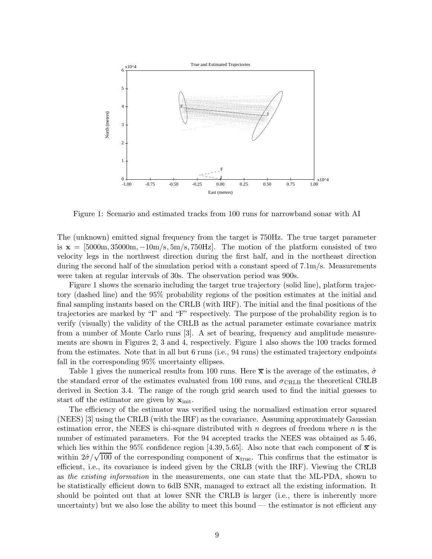

Figure 1: Scenario and estimated tracks from 100 runs for narrowband sonar with AI

The (unknown) emitted signal frequency from the target is 750Hz. The true target parameter is  $x = [5000m, 35000m, -10m/s, 5m/s, 750Hz]$ . The motion of the platform consisted of two velocity legs in the northwest direction during the first half, and in the northeast direction during the second half of the simulation period with a constant speed of 7.1m/s. Measurements were taken at regular intervals of 30s. The observation period was 900s.

Figure 1 shows the scenario including the target true trajectory (solid line), platform trajectory (dashed line) and the 95% probability regions of the position estimates at the initial and final sampling instants based on the CRLB (with IRF). The initial and the final positions of the trajectories are marked by "I" and "F" respectively. The purpose of the probability region is to verify (visually) the validity of the CRLB as the actual parameter estimate covariance matrix from a number of Monte Carlo runs [3]. A set of bearing, frequency and amplitude measurements are shown in Figures 2, 3 and 4, respectively. Figure 1 also shows the 100 tracks formed from the estimates. Note that in all but 6 runs (i.e., 94 runs) the estimated trajectory endpoints fall in the corresponding 95% uncertainty ellipses.

Table 1 gives the numerical results from 100 runs. Here  $\bar{x}$  is the average of the estimates,  $\hat{\sigma}$ the standard error of the estimates evaluated from 100 runs, and  $\sigma_{\text{CRLB}}$  the theoretical CRLB derived in Section 3.4. The range of the rough grid search used to find the initial guesses to start off the estimator are given by  $\mathbf{x}_{\text{init}}$ .

The efficiency of the estimator was verified using the normalized estimation error squared (NEES) [3] using the CRLB (with the IRF) as the covariance. Assuming approximately Gaussian estimation error, the NEES is chi-square distributed with  $n$  degrees of freedom where  $n$  is the number of estimated parameters. For the 94 accepted tracks the NEES was obtained as 5.46, which lies within the 95% confidence region [4.39, 5.65]. Also note that each component of  $\bar{x}$  is within  $2\hat{\sigma}/\sqrt{100}$  of the corresponding component of  $\mathbf{x}_{true}$ . This confirms that the estimator is efficient, i.e., its covariance is indeed given by the CRLB (with the IRF). Viewing the CRLB as the existing information in the measurements, one can state that the ML-PDA, shown to be statistically efficient down to 6dB SNR, managed to extract all the existing information. It should be pointed out that at lower SNR the CRLB is larger (i.e., there is inherently more uncertainty) but we also lose the ability to meet this bound — the estimator is not efficient any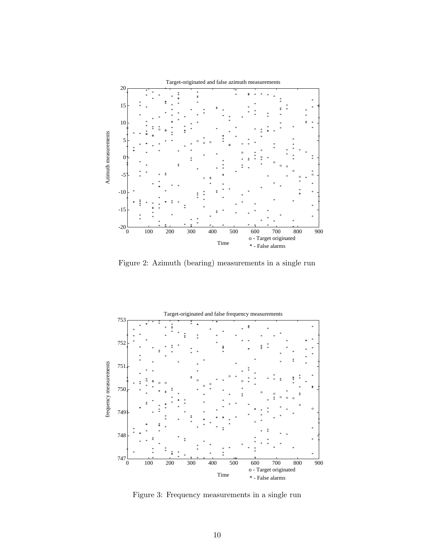

Figure 2: Azimuth (bearing) measurements in a single run



Figure 3: Frequency measurements in a single run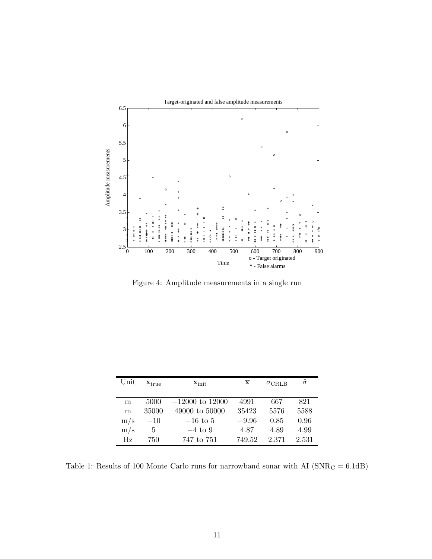

Figure 4: Amplitude measurements in a single run

| Unit      | $\mathbf{x}_{\text{true}}$ | $\mathbf{x}_{\text{init}}$ | $\overline{\mathbf{x}}$ | $\sigma_{\rm CRLB}$ | $\hat{\sigma}$ |
|-----------|----------------------------|----------------------------|-------------------------|---------------------|----------------|
| m         | 5000                       | $-12000$ to 12000          | 4991                    | 667                 | 821            |
| m         | 35000                      | 49000 to 50000             | 35423                   | 5576                | 5588           |
| $\rm m/s$ | $-10$                      | $-16$ to 5                 | $-9.96$                 | 0.85                | 0.96           |
| m/s       | 5                          | $-4$ to 9                  | 4.87                    | 4.89                | 4.99           |
| Hz        | 750                        | 747 to 751                 | 749.52                  | 2.371               | 2.531          |

Table 1: Results of 100 Monte Carlo runs for narrowband sonar with AI  ${\rm (SNR_{C}=6.1dB)}$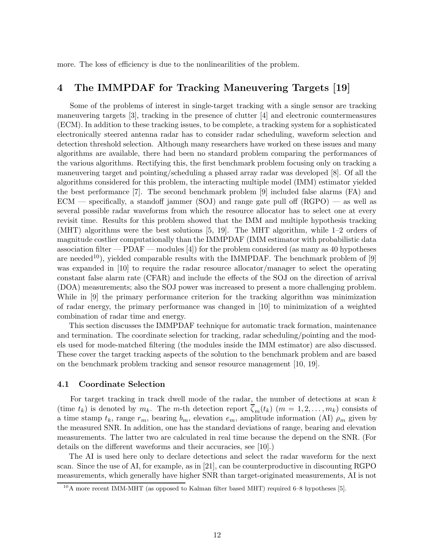more. The loss of efficiency is due to the nonlinearilities of the problem.

# 4 The IMMPDAF for Tracking Maneuvering Targets [19]

Some of the problems of interest in single-target tracking with a single sensor are tracking maneuvering targets [3], tracking in the presence of clutter [4] and electronic countermeasures (ECM). In addition to these tracking issues, to be complete, a tracking system for a sophisticated electronically steered antenna radar has to consider radar scheduling, waveform selection and detection threshold selection. Although many researchers have worked on these issues and many algorithms are available, there had been no standard problem comparing the performances of the various algorithms. Rectifying this, the first benchmark problem focusing only on tracking a maneuvering target and pointing/scheduling a phased array radar was developed [8]. Of all the algorithms considered for this problem, the interacting multiple model (IMM) estimator yielded the best performance [7]. The second benchmark problem [9] included false alarms (FA) and  $ECM$  — specifically, a standoff jammer (SOJ) and range gate pull off  $(RGPO)$  — as well as several possible radar waveforms from which the resource allocator has to select one at every revisit time. Results for this problem showed that the IMM and multiple hypothesis tracking (MHT) algorithms were the best solutions [5, 19]. The MHT algorithm, while 1–2 orders of magnitude costlier computationally than the IMMPDAF (IMM estimator with probabilistic data association filter — PDAF — modules [4]) for the problem considered (as many as 40 hypotheses are needed<sup>10</sup>), yielded comparable results with the IMMPDAF. The benchmark problem of [9] was expanded in [10] to require the radar resource allocator/manager to select the operating constant false alarm rate (CFAR) and include the effects of the SOJ on the direction of arrival (DOA) measurements; also the SOJ power was increased to present a more challenging problem. While in [9] the primary performance criterion for the tracking algorithm was minimization of radar energy, the primary performance was changed in [10] to minimization of a weighted combination of radar time and energy.

This section discusses the IMMPDAF technique for automatic track formation, maintenance and termination. The coordinate selection for tracking, radar scheduling/pointing and the models used for mode-matched filtering (the modules inside the IMM estimator) are also discussed. These cover the target tracking aspects of the solution to the benchmark problem and are based on the benchmark problem tracking and sensor resource management [10, 19].

# 4.1 Coordinate Selection

For target tracking in track dwell mode of the radar, the number of detections at scan  $k$ (time  $t_k$ ) is denoted by  $m_k$ . The m-th detection report  $\overline{\zeta}_m(t_k)$   $(m = 1, 2, \ldots, m_k)$  consists of a time stamp  $t_k$ , range  $r_m$ , bearing  $b_m$ , elevation  $e_m$ , amplitude information (AI)  $\rho_m$  given by the measured SNR. In addition, one has the standard deviations of range, bearing and elevation measurements. The latter two are calculated in real time because the depend on the SNR. (For details on the different waveforms and their accuracies, see [10].)

The AI is used here only to declare detections and select the radar waveform for the next scan. Since the use of AI, for example, as in [21], can be counterproductive in discounting RGPO measurements, which generally have higher SNR than target-originated measurements, AI is not

 $^{10}$ A more recent IMM-MHT (as opposed to Kalman filter based MHT) required 6–8 hypotheses [5].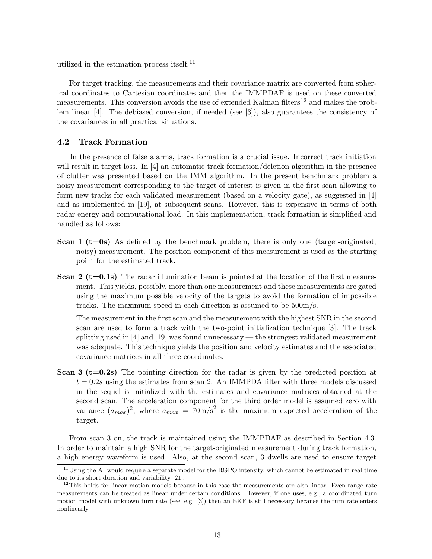utilized in the estimation process itself.<sup>11</sup>

For target tracking, the measurements and their covariance matrix are converted from spherical coordinates to Cartesian coordinates and then the IMMPDAF is used on these converted measurements. This conversion avoids the use of extended Kalman filters<sup>12</sup> and makes the problem linear [4]. The debiased conversion, if needed (see [3]), also guarantees the consistency of the covariances in all practical situations.

# 4.2 Track Formation

In the presence of false alarms, track formation is a crucial issue. Incorrect track initiation will result in target loss. In [4] an automatic track formation/deletion algorithm in the presence of clutter was presented based on the IMM algorithm. In the present benchmark problem a noisy measurement corresponding to the target of interest is given in the first scan allowing to form new tracks for each validated measurement (based on a velocity gate), as suggested in [4] and as implemented in [19], at subsequent scans. However, this is expensive in terms of both radar energy and computational load. In this implementation, track formation is simplified and handled as follows:

- **Scan 1 (t=0s)** As defined by the benchmark problem, there is only one (target-originated, noisy) measurement. The position component of this measurement is used as the starting point for the estimated track.
- **Scan 2 (t=0.1s)** The radar illumination beam is pointed at the location of the first measurement. This yields, possibly, more than one measurement and these measurements are gated using the maximum possible velocity of the targets to avoid the formation of impossible tracks. The maximum speed in each direction is assumed to be 500m/s.

The measurement in the first scan and the measurement with the highest SNR in the second scan are used to form a track with the two-point initialization technique [3]. The track splitting used in [4] and [19] was found unnecessary — the strongest validated measurement was adequate. This technique yields the position and velocity estimates and the associated covariance matrices in all three coordinates.

**Scan 3 (t=0.2s)** The pointing direction for the radar is given by the predicted position at  $t = 0.2s$  using the estimates from scan 2. An IMMPDA filter with three models discussed in the sequel is initialized with the estimates and covariance matrices obtained at the second scan. The acceleration component for the third order model is assumed zero with variance  $(a_{max})^2$ , where  $a_{max} = 70$ m/s<sup>2</sup> is the maximum expected acceleration of the target.

From scan 3 on, the track is maintained using the IMMPDAF as described in Section 4.3. In order to maintain a high SNR for the target-originated measurement during track formation, a high energy waveform is used. Also, at the second scan, 3 dwells are used to ensure target

<sup>&</sup>lt;sup>11</sup>Using the AI would require a separate model for the RGPO intensity, which cannot be estimated in real time due to its short duration and variability [21].

 $12$ This holds for linear motion models because in this case the measurements are also linear. Even range rate measurements can be treated as linear under certain conditions. However, if one uses, e.g., a coordinated turn motion model with unknown turn rate (see, e.g. [3]) then an EKF is still necessary because the turn rate enters nonlinearly.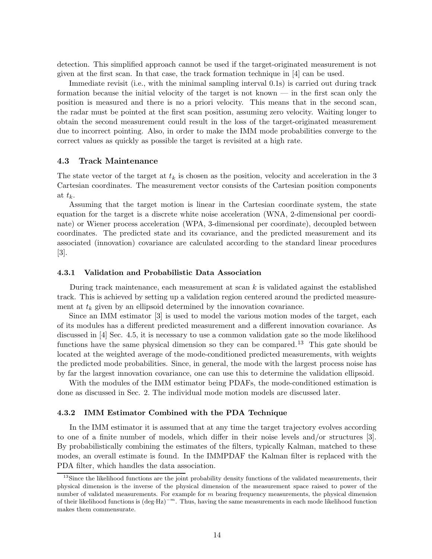detection. This simplified approach cannot be used if the target-originated measurement is not given at the first scan. In that case, the track formation technique in [4] can be used.

Immediate revisit (i.e., with the minimal sampling interval 0.1s) is carried out during track formation because the initial velocity of the target is not known — in the first scan only the position is measured and there is no a priori velocity. This means that in the second scan, the radar must be pointed at the first scan position, assuming zero velocity. Waiting longer to obtain the second measurement could result in the loss of the target-originated measurement due to incorrect pointing. Also, in order to make the IMM mode probabilities converge to the correct values as quickly as possible the target is revisited at a high rate.

## 4.3 Track Maintenance

The state vector of the target at  $t_k$  is chosen as the position, velocity and acceleration in the 3 Cartesian coordinates. The measurement vector consists of the Cartesian position components at  $t_k$ .

Assuming that the target motion is linear in the Cartesian coordinate system, the state equation for the target is a discrete white noise acceleration (WNA, 2-dimensional per coordinate) or Wiener process acceleration (WPA, 3-dimensional per coordinate), decoupled between coordinates. The predicted state and its covariance, and the predicted measurement and its associated (innovation) covariance are calculated according to the standard linear procedures [3].

## 4.3.1 Validation and Probabilistic Data Association

During track maintenance, each measurement at scan  $k$  is validated against the established track. This is achieved by setting up a validation region centered around the predicted measurement at  $t_k$  given by an ellipsoid determined by the innovation covariance.

Since an IMM estimator [3] is used to model the various motion modes of the target, each of its modules has a different predicted measurement and a different innovation covariance. As discussed in [4] Sec. 4.5, it is necessary to use a common validation gate so the mode likelihood functions have the same physical dimension so they can be compared.<sup>13</sup> This gate should be located at the weighted average of the mode-conditioned predicted measurements, with weights the predicted mode probabilities. Since, in general, the mode with the largest process noise has by far the largest innovation covariance, one can use this to determine the validation ellipsoid.

With the modules of the IMM estimator being PDAFs, the mode-conditioned estimation is done as discussed in Sec. 2. The individual mode motion models are discussed later.

## 4.3.2 IMM Estimator Combined with the PDA Technique

In the IMM estimator it is assumed that at any time the target trajectory evolves according to one of a finite number of models, which differ in their noise levels and/or structures [3]. By probabilistically combining the estimates of the filters, typically Kalman, matched to these modes, an overall estimate is found. In the IMMPDAF the Kalman filter is replaced with the PDA filter, which handles the data association.

 $13\text{Since the likelihood functions are the joint probability density functions of the validated measurements, their$ physical dimension is the inverse of the physical dimension of the measurement space raised to power of the number of validated measurements. For example for  $m$  bearing frequency measurements, the physical dimension of their likelihood functions is  $(\text{deg·Hz})^{-m}$ . Thus, having the same measurements in each mode likelihood function makes them commensurate.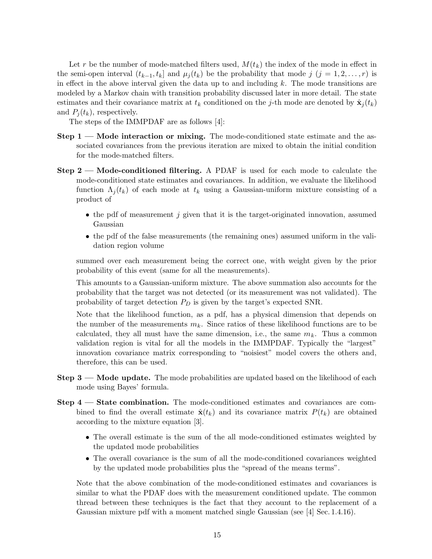Let r be the number of mode-matched filters used,  $M(t_k)$  the index of the mode in effect in the semi-open interval  $(t_{k-1}, t_k]$  and  $\mu_i(t_k)$  be the probability that mode j  $(j = 1, 2, \ldots, r)$  is in effect in the above interval given the data up to and including  $k$ . The mode transitions are modeled by a Markov chain with transition probability discussed later in more detail. The state estimates and their covariance matrix at  $t_k$  conditioned on the j-th mode are denoted by  $\hat{\mathbf{x}}_j(t_k)$ and  $P_j(t_k)$ , respectively.

The steps of the IMMPDAF are as follows [4]:

- Step 1 Mode interaction or mixing. The mode-conditioned state estimate and the associated covariances from the previous iteration are mixed to obtain the initial condition for the mode-matched filters.
- Step 2 Mode-conditioned filtering. A PDAF is used for each mode to calculate the mode-conditioned state estimates and covariances. In addition, we evaluate the likelihood function  $\Lambda_i(t_k)$  of each mode at  $t_k$  using a Gaussian-uniform mixture consisting of a product of
	- the pdf of measurement  $j$  given that it is the target-originated innovation, assumed Gaussian
	- the pdf of the false measurements (the remaining ones) assumed uniform in the validation region volume

summed over each measurement being the correct one, with weight given by the prior probability of this event (same for all the measurements).

This amounts to a Gaussian-uniform mixture. The above summation also accounts for the probability that the target was not detected (or its measurement was not validated). The probability of target detection  $P_D$  is given by the target's expected SNR.

Note that the likelihood function, as a pdf, has a physical dimension that depends on the number of the measurements  $m_k$ . Since ratios of these likelihood functions are to be calculated, they all must have the same dimension, i.e., the same  $m_k$ . Thus a common validation region is vital for all the models in the IMMPDAF. Typically the "largest" innovation covariance matrix corresponding to "noisiest" model covers the others and, therefore, this can be used.

- Step 3 Mode update. The mode probabilities are updated based on the likelihood of each mode using Bayes' formula.
- Step 4 State combination. The mode-conditioned estimates and covariances are combined to find the overall estimate  $\hat{\mathbf{x}}(t_k)$  and its covariance matrix  $P(t_k)$  are obtained according to the mixture equation [3].
	- The overall estimate is the sum of the all mode-conditioned estimates weighted by the updated mode probabilities
	- The overall covariance is the sum of all the mode-conditioned covariances weighted by the updated mode probabilities plus the "spread of the means terms".

Note that the above combination of the mode-conditioned estimates and covariances is similar to what the PDAF does with the measurement conditioned update. The common thread between these techniques is the fact that they account to the replacement of a Gaussian mixture pdf with a moment matched single Gaussian (see [4] Sec. 1.4.16).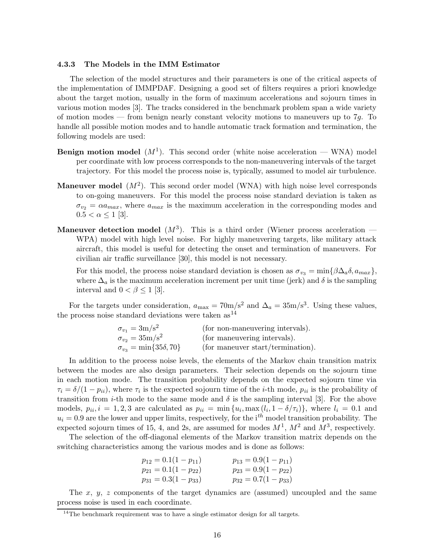#### 4.3.3 The Models in the IMM Estimator

The selection of the model structures and their parameters is one of the critical aspects of the implementation of IMMPDAF. Designing a good set of filters requires a priori knowledge about the target motion, usually in the form of maximum accelerations and sojourn times in various motion modes [3]. The tracks considered in the benchmark problem span a wide variety of motion modes — from benign nearly constant velocity motions to maneuvers up to  $7q$ . To handle all possible motion modes and to handle automatic track formation and termination, the following models are used:

- **Benign motion model**  $(M^1)$ . This second order (white noise acceleration WNA) model per coordinate with low process corresponds to the non-maneuvering intervals of the target trajectory. For this model the process noise is, typically, assumed to model air turbulence.
- **Maneuver model**  $(M^2)$ . This second order model (WNA) with high noise level corresponds to on-going maneuvers. For this model the process noise standard deviation is taken as  $\sigma_{v_2} = \alpha a_{max}$ , where  $a_{max}$  is the maximum acceleration in the corresponding modes and  $0.5 < \alpha \leq 1$  [3].
- **Maneuver detection model**  $(M^3)$ . This is a third order (Wiener process acceleration WPA) model with high level noise. For highly maneuvering targets, like military attack aircraft, this model is useful for detecting the onset and termination of maneuvers. For civilian air traffic surveillance [30], this model is not necessary.

For this model, the process noise standard deviation is chosen as  $\sigma_{v_3} = \min\{\beta \Delta_a \delta, a_{max}\},\$ where  $\Delta_a$  is the maximum acceleration increment per unit time (jerk) and  $\delta$  is the sampling interval and  $0 < \beta \leq 1$  [3].

For the targets under consideration,  $a_{\text{max}} = 70 \text{m/s}^2$  and  $\Delta_a = 35 \text{m/s}^3$ . Using these values, the process noise standard deviations were taken  $as^{14}$ 

| $\sigma_{v_1} = 3 \text{m/s}^2$       | (for non-maneuvering intervals).  |
|---------------------------------------|-----------------------------------|
| $\sigma_{v_2} = 35 \text{m/s}^2$      | (for maneuvering intervals).      |
| $\sigma_{v_3} = \min\{35\delta, 70\}$ | (for maneuver start/termination). |

In addition to the process noise levels, the elements of the Markov chain transition matrix between the modes are also design parameters. Their selection depends on the sojourn time in each motion mode. The transition probability depends on the expected sojourn time via  $\tau_i = \delta/(1 - p_{ii})$ , where  $\tau_i$  is the expected sojourn time of the *i*-th mode,  $p_{ii}$  is the probability of transition from *i*-th mode to the same mode and  $\delta$  is the sampling interval [3]. For the above models,  $p_{ii}$ ,  $i = 1, 2, 3$  are calculated as  $p_{ii} = \min\{u_i, \max_{i} (l_i, 1 - \delta/\tau_i)\}\$ , where  $l_i = 0.1$  and  $u_i = 0.9$  are the lower and upper limits, respectively, for the i<sup>th</sup> model transition probability. The expected sojourn times of 15, 4, and 2s, are assumed for modes  $M^1$ ,  $M^2$  and  $M^3$ , respectively.

The selection of the off-diagonal elements of the Markov transition matrix depends on the switching characteristics among the various modes and is done as follows:

| $p_{12} = 0.1(1 - p_{11})$ | $p_{13} = 0.9(1 - p_{11})$ |
|----------------------------|----------------------------|
| $p_{21} = 0.1(1-p_{22})$   | $p_{23} = 0.9(1 - p_{22})$ |
| $p_{31} = 0.3(1 - p_{33})$ | $p_{32} = 0.7(1 - p_{33})$ |

The  $x, y, z$  components of the target dynamics are (assumed) uncoupled and the same process noise is used in each coordinate.

<sup>&</sup>lt;sup>14</sup>The benchmark requirement was to have a single estimator design for all targets.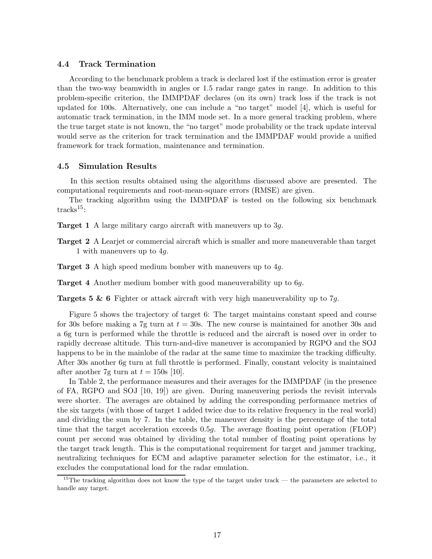# 4.4 Track Termination

According to the benchmark problem a track is declared lost if the estimation error is greater than the two-way beamwidth in angles or 1.5 radar range gates in range. In addition to this problem-specific criterion, the IMMPDAF declares (on its own) track loss if the track is not updated for 100s. Alternatively, one can include a "no target" model [4], which is useful for automatic track termination, in the IMM mode set. In a more general tracking problem, where the true target state is not known, the "no target" mode probability or the track update interval would serve as the criterion for track termination and the IMMPDAF would provide a unified framework for track formation, maintenance and termination.

# 4.5 Simulation Results

In this section results obtained using the algorithms discussed above are presented. The computational requirements and root-mean-square errors (RMSE) are given.

The tracking algorithm using the IMMPDAF is tested on the following six benchmark tracks<sup>15</sup>:

Target 1 A large military cargo aircraft with maneuvers up to 3g.

- Target 2 A Learjet or commercial aircraft which is smaller and more maneuverable than target 1 with maneuvers up to 4g.
- Target 3 A high speed medium bomber with maneuvers up to 4g.

Target 4 Another medium bomber with good maneuverability up to 6g.

**Targets 5 & 6** Fighter or attack aircraft with very high maneuverability up to  $7g$ .

Figure 5 shows the trajectory of target 6: The target maintains constant speed and course for 30s before making a 7g turn at  $t = 30$ s. The new course is maintained for another 30s and a 6g turn is performed while the throttle is reduced and the aircraft is nosed over in order to rapidly decrease altitude. This turn-and-dive maneuver is accompanied by RGPO and the SOJ happens to be in the mainlobe of the radar at the same time to maximize the tracking difficulty. After 30s another 6g turn at full throttle is performed. Finally, constant velocity is maintained after another 7g turn at  $t = 150$ s [10].

In Table 2, the performance measures and their averages for the IMMPDAF (in the presence of FA, RGPO and SOJ [10, 19]) are given. During maneuvering periods the revisit intervals were shorter. The averages are obtained by adding the corresponding performance metrics of the six targets (with those of target 1 added twice due to its relative frequency in the real world) and dividing the sum by 7. In the table, the maneuver density is the percentage of the total time that the target acceleration exceeds 0.5g. The average floating point operation (FLOP) count per second was obtained by dividing the total number of floating point operations by the target track length. This is the computational requirement for target and jammer tracking, neutralizing techniques for ECM and adaptive parameter selection for the estimator, i.e., it excludes the computational load for the radar emulation.

<sup>&</sup>lt;sup>15</sup>The tracking algorithm does not know the type of the target under track — the parameters are selected to handle any target.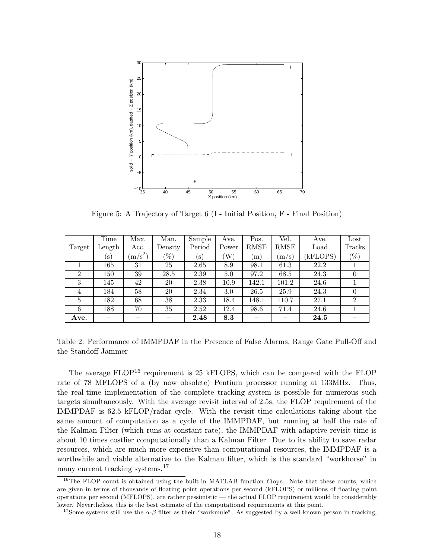

Figure 5: A Trajectory of Target 6 (I - Initial Position, F - Final Position)

|                | Time                     | Max.          | Man.    | Sample         | Ave.  | Pos.  | Vel.  | Ave.     | $_{\rm Lost}$  |
|----------------|--------------------------|---------------|---------|----------------|-------|-------|-------|----------|----------------|
| Target         | Length                   | Acc.          | Density | Period         | Power | RMSE  | RMSE  | Load     | Tracks         |
|                | $(\mathbf{s})$           | $\rm (m/s^2)$ | $(\%)$  | $(\mathbf{s})$ | W)    | (m)   | (m/s) | (kFLOPS) | $(\%)$         |
|                | 165                      | 31            | 25      | 2.65           | 8.9   | 98.1  | 61.3  | 22.2     |                |
| $\overline{2}$ | 150                      | 39            | 28.5    | 2.39           | 5.0   | 97.2  | 68.5  | 24.3     | U              |
| 3              | 145                      | 42            | 20      | 2.38           | 10.9  | 142.1 | 101.2 | 24.6     |                |
| 4              | 184                      | 58            | 20      | 2.34           | 3.0   | 26.5  | 25.9  | 24.3     | $\theta$       |
| 5              | 182                      | 68            | 38      | 2.33           | 18.4  | 148.1 | 110.7 | 27.1     | $\overline{2}$ |
| 6              | 188                      | 70            | 35      | 2.52           | 12.4  | 98.6  | 71.4  | 24.6     |                |
| Ave.           | $\overline{\phantom{a}}$ |               |         | 2.48           | 8.3   |       |       | 24.5     |                |

Table 2: Performance of IMMPDAF in the Presence of False Alarms, Range Gate Pull-Off and the Standoff Jammer

The average  $FLOP^{16}$  requirement is 25 kFLOPS, which can be compared with the FLOP rate of 78 MFLOPS of a (by now obsolete) Pentium processor running at 133MHz. Thus, the real-time implementation of the complete tracking system is possible for numerous such targets simultaneously. With the average revisit interval of 2.5s, the FLOP requirement of the IMMPDAF is 62.5 kFLOP/radar cycle. With the revisit time calculations taking about the same amount of computation as a cycle of the IMMPDAF, but running at half the rate of the Kalman Filter (which runs at constant rate), the IMMPDAF with adaptive revisit time is about 10 times costlier computationally than a Kalman Filter. Due to its ability to save radar resources, which are much more expensive than computational resources, the IMMPDAF is a worthwhile and viable alternative to the Kalman filter, which is the standard "workhorse" in many current tracking systems.<sup>17</sup>

<sup>&</sup>lt;sup>16</sup>The FLOP count is obtained using the built-in MATLAB function flops. Note that these counts, which are given in terms of thousands of floating point operations per second (kFLOPS) or millions of floating point operations per second (MFLOPS), are rather pessimistic — the actual FLOP requirement would be considerably lower. Nevertheless, this is the best estimate of the computational requirements at this point.

<sup>&</sup>lt;sup>17</sup>Some systems still use the  $\alpha$ -β filter as their "workmule". As suggested by a well-known person in tracking,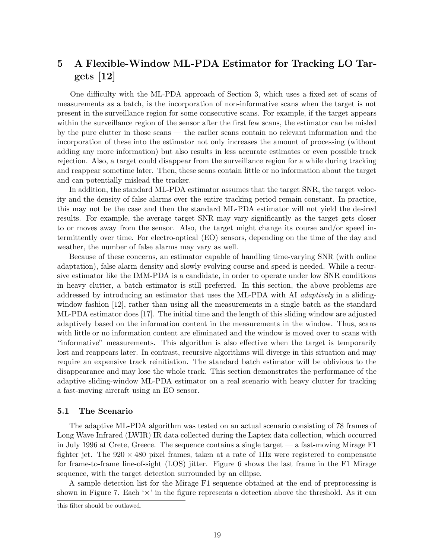# 5 A Flexible-Window ML-PDA Estimator for Tracking LO Tar $gets$  [12]

One difficulty with the ML-PDA approach of Section 3, which uses a fixed set of scans of measurements as a batch, is the incorporation of non-informative scans when the target is not present in the surveillance region for some consecutive scans. For example, if the target appears within the surveillance region of the sensor after the first few scans, the estimator can be misled by the pure clutter in those scans — the earlier scans contain no relevant information and the incorporation of these into the estimator not only increases the amount of processing (without adding any more information) but also results in less accurate estimates or even possible track rejection. Also, a target could disappear from the surveillance region for a while during tracking and reappear sometime later. Then, these scans contain little or no information about the target and can potentially mislead the tracker.

In addition, the standard ML-PDA estimator assumes that the target SNR, the target velocity and the density of false alarms over the entire tracking period remain constant. In practice, this may not be the case and then the standard ML-PDA estimator will not yield the desired results. For example, the average target SNR may vary significantly as the target gets closer to or moves away from the sensor. Also, the target might change its course and/or speed intermittently over time. For electro-optical (EO) sensors, depending on the time of the day and weather, the number of false alarms may vary as well.

Because of these concerns, an estimator capable of handling time-varying SNR (with online adaptation), false alarm density and slowly evolving course and speed is needed. While a recursive estimator like the IMM-PDA is a candidate, in order to operate under low SNR conditions in heavy clutter, a batch estimator is still preferred. In this section, the above problems are addressed by introducing an estimator that uses the ML-PDA with AI adaptively in a slidingwindow fashion [12], rather than using all the measurements in a single batch as the standard ML-PDA estimator does [17]. The initial time and the length of this sliding window are adjusted adaptively based on the information content in the measurements in the window. Thus, scans with little or no information content are eliminated and the window is moved over to scans with "informative" measurements. This algorithm is also effective when the target is temporarily lost and reappears later. In contrast, recursive algorithms will diverge in this situation and may require an expensive track reinitiation. The standard batch estimator will be oblivious to the disappearance and may lose the whole track. This section demonstrates the performance of the adaptive sliding-window ML-PDA estimator on a real scenario with heavy clutter for tracking a fast-moving aircraft using an EO sensor.

# 5.1 The Scenario

The adaptive ML-PDA algorithm was tested on an actual scenario consisting of 78 frames of Long Wave Infrared (LWIR) IR data collected during the Laptex data collection, which occurred in July 1996 at Crete, Greece. The sequence contains a single target — a fast-moving Mirage F1 fighter jet. The  $920 \times 480$  pixel frames, taken at a rate of 1Hz were registered to compensate for frame-to-frame line-of-sight (LOS) jitter. Figure 6 shows the last frame in the F1 Mirage sequence, with the target detection surrounded by an ellipse.

A sample detection list for the Mirage F1 sequence obtained at the end of preprocessing is shown in Figure 7. Each  $\forall x$  in the figure represents a detection above the threshold. As it can

this filter should be outlawed.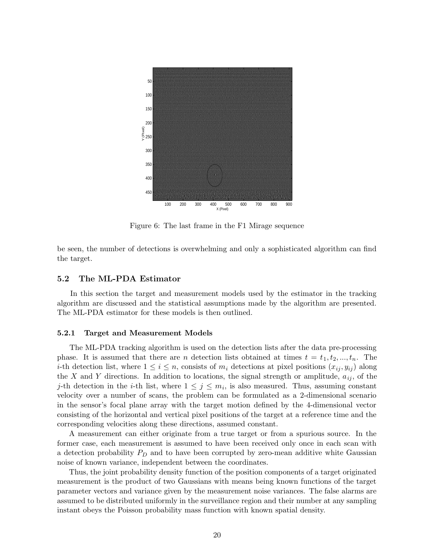

Figure 6: The last frame in the F1 Mirage sequence

be seen, the number of detections is overwhelming and only a sophisticated algorithm can find the target.

# 5.2 The ML-PDA Estimator

In this section the target and measurement models used by the estimator in the tracking algorithm are discussed and the statistical assumptions made by the algorithm are presented. The ML-PDA estimator for these models is then outlined.

## 5.2.1 Target and Measurement Models

The ML-PDA tracking algorithm is used on the detection lists after the data pre-processing phase. It is assumed that there are n detection lists obtained at times  $t = t_1, t_2, ..., t_n$ . The *i*-th detection list, where  $1 \leq i \leq n$ , consists of  $m_i$  detections at pixel positions  $(x_{ij}, y_{ij})$  along the X and Y directions. In addition to locations, the signal strength or amplitude,  $a_{ij}$ , of the j-th detection in the *i*-th list, where  $1 \leq j \leq m_i$ , is also measured. Thus, assuming constant velocity over a number of scans, the problem can be formulated as a 2-dimensional scenario in the sensor's focal plane array with the target motion defined by the 4-dimensional vector consisting of the horizontal and vertical pixel positions of the target at a reference time and the corresponding velocities along these directions, assumed constant.

A measurement can either originate from a true target or from a spurious source. In the former case, each measurement is assumed to have been received only once in each scan with a detection probability  $P_D$  and to have been corrupted by zero-mean additive white Gaussian noise of known variance, independent between the coordinates.

Thus, the joint probability density function of the position components of a target originated measurement is the product of two Gaussians with means being known functions of the target parameter vectors and variance given by the measurement noise variances. The false alarms are assumed to be distributed uniformly in the surveillance region and their number at any sampling instant obeys the Poisson probability mass function with known spatial density.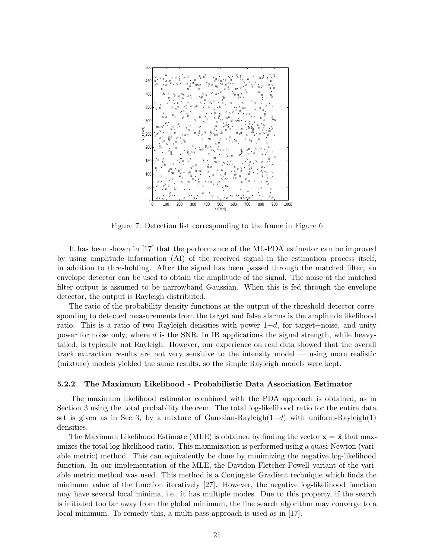

Figure 7: Detection list corresponding to the frame in Figure 6

It has been shown in [17] that the performance of the ML-PDA estimator can be improved by using amplitude information (AI) of the received signal in the estimation process itself, in addition to thresholding. After the signal has been passed through the matched filter, an envelope detector can be used to obtain the amplitude of the signal. The noise at the matched filter output is assumed to be narrowband Gaussian. When this is fed through the envelope detector, the output is Rayleigh distributed.

The ratio of the probability density functions at the output of the threshold detector corresponding to detected measurements from the target and false alarms is the amplitude likelihood ratio. This is a ratio of two Rayleigh densities with power  $1+d$ , for target+noise, and unity power for noise only, where  $d$  is the SNR. In IR applications the signal strength, while heavytailed, is typically not Rayleigh. However, our experience on real data showed that the overall track extraction results are not very sensitive to the intensity model — using more realistic (mixture) models yielded the same results, so the simple Rayleigh models were kept.

# 5.2.2 The Maximum Likelihood - Probabilistic Data Association Estimator

The maximum likelihood estimator combined with the PDA approach is obtained, as in Section 3 using the total probability theorem. The total log-likelihood ratio for the entire data set is given as in Sec. 3, by a mixture of Gaussian-Rayleigh $(1+d)$  with uniform-Rayleigh $(1)$ densities.

The Maximum Likelihood Estimate (MLE) is obtained by finding the vector  $\mathbf{x} = \hat{\mathbf{x}}$  that maximizes the total log-likelihood ratio. This maximization is performed using a quasi-Newton (variable metric) method. This can equivalently be done by minimizing the negative log-likelihood function. In our implementation of the MLE, the Davidon-Fletcher-Powell variant of the variable metric method was used. This method is a Conjugate Gradient technique which finds the minimum value of the function iteratively [27]. However, the negative log-likelihood function may have several local minima, i.e., it has multiple modes. Due to this property, if the search is initiated too far away from the global minimum, the line search algorithm may converge to a local minimum. To remedy this, a multi-pass approach is used as in [17].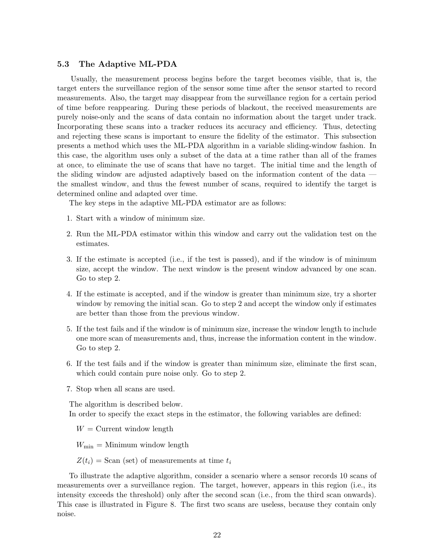# 5.3 The Adaptive ML-PDA

Usually, the measurement process begins before the target becomes visible, that is, the target enters the surveillance region of the sensor some time after the sensor started to record measurements. Also, the target may disappear from the surveillance region for a certain period of time before reappearing. During these periods of blackout, the received measurements are purely noise-only and the scans of data contain no information about the target under track. Incorporating these scans into a tracker reduces its accuracy and efficiency. Thus, detecting and rejecting these scans is important to ensure the fidelity of the estimator. This subsection presents a method which uses the ML-PDA algorithm in a variable sliding-window fashion. In this case, the algorithm uses only a subset of the data at a time rather than all of the frames at once, to eliminate the use of scans that have no target. The initial time and the length of the sliding window are adjusted adaptively based on the information content of the data the smallest window, and thus the fewest number of scans, required to identify the target is determined online and adapted over time.

The key steps in the adaptive ML-PDA estimator are as follows:

- 1. Start with a window of minimum size.
- 2. Run the ML-PDA estimator within this window and carry out the validation test on the estimates.
- 3. If the estimate is accepted (i.e., if the test is passed), and if the window is of minimum size, accept the window. The next window is the present window advanced by one scan. Go to step 2.
- 4. If the estimate is accepted, and if the window is greater than minimum size, try a shorter window by removing the initial scan. Go to step 2 and accept the window only if estimates are better than those from the previous window.
- 5. If the test fails and if the window is of minimum size, increase the window length to include one more scan of measurements and, thus, increase the information content in the window. Go to step 2.
- 6. If the test fails and if the window is greater than minimum size, eliminate the first scan, which could contain pure noise only. Go to step 2.
- 7. Stop when all scans are used.

The algorithm is described below. In order to specify the exact steps in the estimator, the following variables are defined:

 $W =$  Current window length

 $W_{\text{min}} =$  Minimum window length

 $Z(t_i) =$ Scan (set) of measurements at time  $t_i$ 

To illustrate the adaptive algorithm, consider a scenario where a sensor records 10 scans of measurements over a surveillance region. The target, however, appears in this region (i.e., its intensity exceeds the threshold) only after the second scan (i.e., from the third scan onwards). This case is illustrated in Figure 8. The first two scans are useless, because they contain only noise.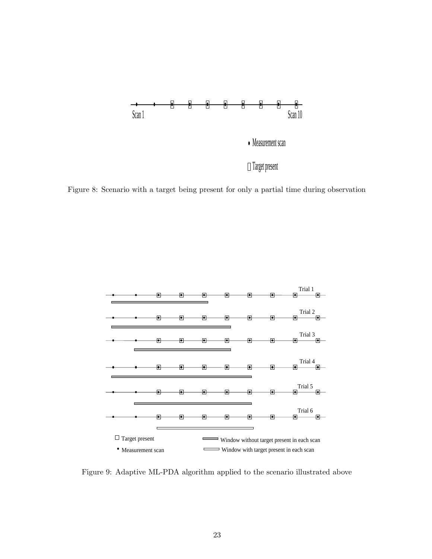

Figure 8: Scenario with a target being present for only a partial time during observation



Figure 9: Adaptive ML-PDA algorithm applied to the scenario illustrated above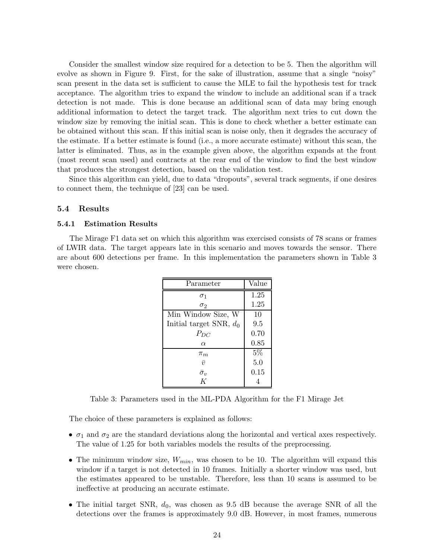Consider the smallest window size required for a detection to be 5. Then the algorithm will evolve as shown in Figure 9. First, for the sake of illustration, assume that a single "noisy" scan present in the data set is sufficient to cause the MLE to fail the hypothesis test for track acceptance. The algorithm tries to expand the window to include an additional scan if a track detection is not made. This is done because an additional scan of data may bring enough additional information to detect the target track. The algorithm next tries to cut down the window size by removing the initial scan. This is done to check whether a better estimate can be obtained without this scan. If this initial scan is noise only, then it degrades the accuracy of the estimate. If a better estimate is found (i.e., a more accurate estimate) without this scan, the latter is eliminated. Thus, as in the example given above, the algorithm expands at the front (most recent scan used) and contracts at the rear end of the window to find the best window that produces the strongest detection, based on the validation test.

Since this algorithm can yield, due to data "dropouts", several track segments, if one desires to connect them, the technique of [23] can be used.

# 5.4 Results

# 5.4.1 Estimation Results

The Mirage F1 data set on which this algorithm was exercised consists of 78 scans or frames of LWIR data. The target appears late in this scenario and moves towards the sensor. There are about 600 detections per frame. In this implementation the parameters shown in Table 3 were chosen.

| Parameter                 | Value |
|---------------------------|-------|
| $\sigma_1$                | 1.25  |
| $\sigma_2$                | 1.25  |
| Min Window Size, W        | 10    |
| Initial target SNR, $d_0$ | 9.5   |
| $P_{DC}$                  | 0.70  |
| $\alpha$                  | 0.85  |
| $\pi_m$                   | 5%    |
| $\bar{\mathcal{D}}$       | 5.0   |
| $\bar{\sigma}_v$          | 0.15  |
| K                         |       |

Table 3: Parameters used in the ML-PDA Algorithm for the F1 Mirage Jet

The choice of these parameters is explained as follows:

- $\sigma_1$  and  $\sigma_2$  are the standard deviations along the horizontal and vertical axes respectively. The value of 1.25 for both variables models the results of the preprocessing.
- The minimum window size,  $W_{min}$ , was chosen to be 10. The algorithm will expand this window if a target is not detected in 10 frames. Initially a shorter window was used, but the estimates appeared to be unstable. Therefore, less than 10 scans is assumed to be ineffective at producing an accurate estimate.
- The initial target SNR,  $d_0$ , was chosen as 9.5 dB because the average SNR of all the detections over the frames is approximately 9.0 dB. However, in most frames, numerous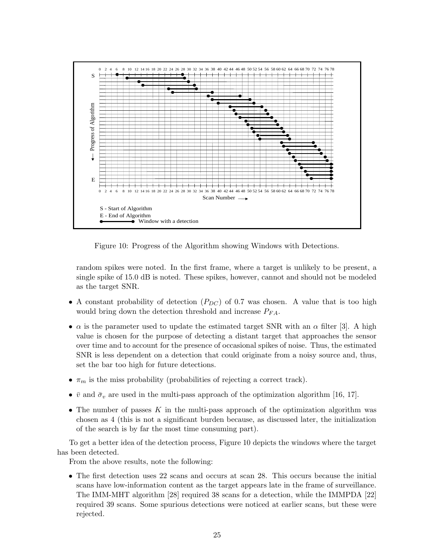

Figure 10: Progress of the Algorithm showing Windows with Detections.

random spikes were noted. In the first frame, where a target is unlikely to be present, a single spike of 15.0 dB is noted. These spikes, however, cannot and should not be modeled as the target SNR.

- A constant probability of detection  $(P_{DC})$  of 0.7 was chosen. A value that is too high would bring down the detection threshold and increase  $P_{FA}$ .
- $\alpha$  is the parameter used to update the estimated target SNR with an  $\alpha$  filter [3]. A high value is chosen for the purpose of detecting a distant target that approaches the sensor over time and to account for the presence of occasional spikes of noise. Thus, the estimated SNR is less dependent on a detection that could originate from a noisy source and, thus, set the bar too high for future detections.
- $\pi_m$  is the miss probability (probabilities of rejecting a correct track).
- $\bar{v}$  and  $\bar{\sigma}_v$  are used in the multi-pass approach of the optimization algorithm [16, 17].
- The number of passes  $K$  in the multi-pass approach of the optimization algorithm was chosen as 4 (this is not a significant burden because, as discussed later, the initialization of the search is by far the most time consuming part).

To get a better idea of the detection process, Figure 10 depicts the windows where the target has been detected.

From the above results, note the following:

• The first detection uses 22 scans and occurs at scan 28. This occurs because the initial scans have low-information content as the target appears late in the frame of surveillance. The IMM-MHT algorithm [28] required 38 scans for a detection, while the IMMPDA [22] required 39 scans. Some spurious detections were noticed at earlier scans, but these were rejected.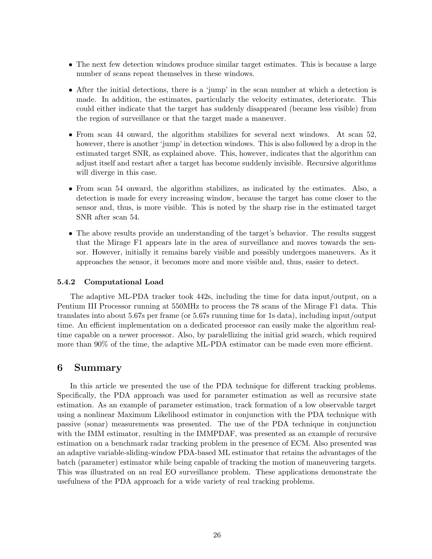- The next few detection windows produce similar target estimates. This is because a large number of scans repeat themselves in these windows.
- After the initial detections, there is a 'jump' in the scan number at which a detection is made. In addition, the estimates, particularly the velocity estimates, deteriorate. This could either indicate that the target has suddenly disappeared (became less visible) from the region of surveillance or that the target made a maneuver.
- From scan 44 onward, the algorithm stabilizes for several next windows. At scan 52, however, there is another 'jump' in detection windows. This is also followed by a drop in the estimated target SNR, as explained above. This, however, indicates that the algorithm can adjust itself and restart after a target has become suddenly invisible. Recursive algorithms will diverge in this case.
- From scan 54 onward, the algorithm stabilizes, as indicated by the estimates. Also, a detection is made for every increasing window, because the target has come closer to the sensor and, thus, is more visible. This is noted by the sharp rise in the estimated target SNR after scan 54.
- The above results provide an understanding of the target's behavior. The results suggest that the Mirage F1 appears late in the area of surveillance and moves towards the sensor. However, initially it remains barely visible and possibly undergoes maneuvers. As it approaches the sensor, it becomes more and more visible and, thus, easier to detect.

# 5.4.2 Computational Load

The adaptive ML-PDA tracker took 442s, including the time for data input/output, on a Pentium III Processor running at 550MHz to process the 78 scans of the Mirage F1 data. This translates into about 5.67s per frame (or 5.67s running time for 1s data), including input/output time. An efficient implementation on a dedicated processor can easily make the algorithm realtime capable on a newer processor. Also, by paralellizing the initial grid search, which required more than 90% of the time, the adaptive ML-PDA estimator can be made even more efficient.

# 6 Summary

In this article we presented the use of the PDA technique for different tracking problems. Specifically, the PDA approach was used for parameter estimation as well as recursive state estimation. As an example of parameter estimation, track formation of a low observable target using a nonlinear Maximum Likelihood estimator in conjunction with the PDA technique with passive (sonar) measurements was presented. The use of the PDA technique in conjunction with the IMM estimator, resulting in the IMMPDAF, was presented as an example of recursive estimation on a benchmark radar tracking problem in the presence of ECM. Also presented was an adaptive variable-sliding-window PDA-based ML estimator that retains the advantages of the batch (parameter) estimator while being capable of tracking the motion of maneuvering targets. This was illustrated on an real EO surveillance problem. These applications demonstrate the usefulness of the PDA approach for a wide variety of real tracking problems.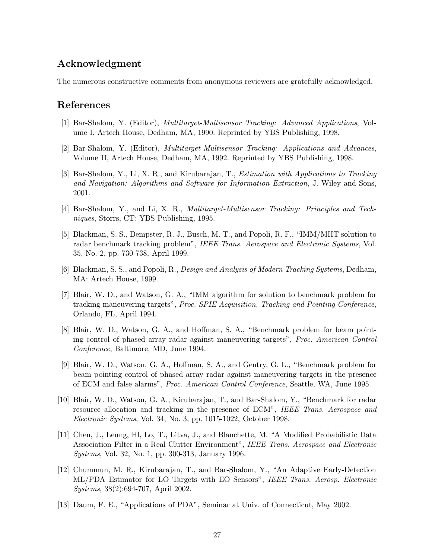# Acknowledgment

The numerous constructive comments from anonymous reviewers are gratefully acknowledged.

# References

- [1] Bar-Shalom, Y. (Editor), Multitarget-Multisensor Tracking: Advanced Applications, Volume I, Artech House, Dedham, MA, 1990. Reprinted by YBS Publishing, 1998.
- [2] Bar-Shalom, Y. (Editor), Multitarget-Multisensor Tracking: Applications and Advances, Volume II, Artech House, Dedham, MA, 1992. Reprinted by YBS Publishing, 1998.
- [3] Bar-Shalom, Y., Li, X. R., and Kirubarajan, T., Estimation with Applications to Tracking and Navigation: Algorithms and Software for Information Extraction, J. Wiley and Sons, 2001.
- [4] Bar-Shalom, Y., and Li, X. R., Multitarget-Multisensor Tracking: Principles and Techniques, Storrs, CT: YBS Publishing, 1995.
- [5] Blackman, S. S., Dempster, R. J., Busch, M. T., and Popoli, R. F., "IMM/MHT solution to radar benchmark tracking problem", IEEE Trans. Aerospace and Electronic Systems, Vol. 35, No. 2, pp. 730-738, April 1999.
- [6] Blackman, S. S., and Popoli, R., Design and Analysis of Modern Tracking Systems, Dedham, MA: Artech House, 1999.
- [7] Blair, W. D., and Watson, G. A., "IMM algorithm for solution to benchmark problem for tracking maneuvering targets", Proc. SPIE Acquisition, Tracking and Pointing Conference, Orlando, FL, April 1994.
- [8] Blair, W. D., Watson, G. A., and Hoffman, S. A., "Benchmark problem for beam pointing control of phased array radar against maneuvering targets", Proc. American Control Conference, Baltimore, MD, June 1994.
- [9] Blair, W. D., Watson, G. A., Hoffman, S. A., and Gentry, G. L., "Benchmark problem for beam pointing control of phased array radar against maneuvering targets in the presence of ECM and false alarms", Proc. American Control Conference, Seattle, WA, June 1995.
- [10] Blair, W. D., Watson, G. A., Kirubarajan, T., and Bar-Shalom, Y., "Benchmark for radar resource allocation and tracking in the presence of ECM", IEEE Trans. Aerospace and Electronic Systems, Vol. 34, No. 3, pp. 1015-1022, October 1998.
- [11] Chen, J., Leung, Hl, Lo, T., Litva, J., and Blanchette, M. "A Modified Probabilistic Data Association Filter in a Real Clutter Environment", IEEE Trans. Aerospace and Electronic Systems, Vol. 32, No. 1, pp. 300-313, January 1996.
- [12] Chummun, M. R., Kirubarajan, T., and Bar-Shalom, Y., "An Adaptive Early-Detection ML/PDA Estimator for LO Targets with EO Sensors", IEEE Trans. Aerosp. Electronic Systems, 38(2):694-707, April 2002.
- [13] Daum, F. E., "Applications of PDA", Seminar at Univ. of Connecticut, May 2002.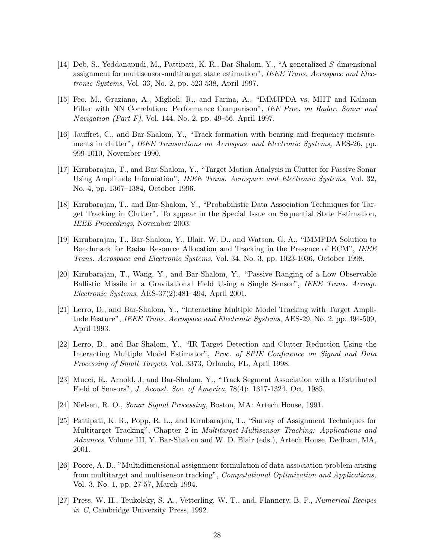- [14] Deb, S., Yeddanapudi, M., Pattipati, K. R., Bar-Shalom, Y., "A generalized S-dimensional assignment for multisensor-multitarget state estimation", IEEE Trans. Aerospace and Electronic Systems, Vol. 33, No. 2, pp. 523-538, April 1997.
- [15] Feo, M., Graziano, A., Miglioli, R., and Farina, A., "IMMJPDA vs. MHT and Kalman Filter with NN Correlation: Performance Comparison", IEE Proc. on Radar, Sonar and *Navigation (Part F)*, Vol. 144, No. 2, pp. 49–56, April 1997.
- [16] Jauffret, C., and Bar-Shalom, Y., "Track formation with bearing and frequency measurements in clutter", IEEE Transactions on Aerospace and Electronic Systems, AES-26, pp. 999-1010, November 1990.
- [17] Kirubarajan, T., and Bar-Shalom, Y., "Target Motion Analysis in Clutter for Passive Sonar Using Amplitude Information", IEEE Trans. Aerospace and Electronic Systems, Vol. 32, No. 4, pp. 1367–1384, October 1996.
- [18] Kirubarajan, T., and Bar-Shalom, Y., "Probabilistic Data Association Techniques for Target Tracking in Clutter", To appear in the Special Issue on Sequential State Estimation, IEEE Proceedings, November 2003.
- [19] Kirubarajan, T., Bar-Shalom, Y., Blair, W. D., and Watson, G. A., "IMMPDA Solution to Benchmark for Radar Resource Allocation and Tracking in the Presence of ECM", IEEE Trans. Aerospace and Electronic Systems, Vol. 34, No. 3, pp. 1023-1036, October 1998.
- [20] Kirubarajan, T., Wang, Y., and Bar-Shalom, Y., "Passive Ranging of a Low Observable Ballistic Missile in a Gravitational Field Using a Single Sensor", IEEE Trans. Aerosp. Electronic Systems, AES-37(2):481–494, April 2001.
- [21] Lerro, D., and Bar-Shalom, Y., "Interacting Multiple Model Tracking with Target Amplitude Feature", *IEEE Trans. Aerospace and Electronic Systems*, AES-29, No. 2, pp. 494-509, April 1993.
- [22] Lerro, D., and Bar-Shalom, Y., "IR Target Detection and Clutter Reduction Using the Interacting Multiple Model Estimator", Proc. of SPIE Conference on Signal and Data Processing of Small Targets, Vol. 3373, Orlando, FL, April 1998.
- [23] Mucci, R., Arnold, J. and Bar-Shalom, Y., "Track Segment Association with a Distributed Field of Sensors", J. Acoust. Soc. of America, 78(4): 1317-1324, Oct. 1985.
- [24] Nielsen, R. O., Sonar Signal Processing, Boston, MA: Artech House, 1991.
- [25] Pattipati, K. R., Popp, R. L., and Kirubarajan, T., "Survey of Assignment Techniques for Multitarget Tracking", Chapter 2 in *Multitarget-Multisensor Tracking: Applications and* Advances, Volume III, Y. Bar-Shalom and W. D. Blair (eds.), Artech House, Dedham, MA, 2001.
- [26] Poore, A. B., "Multidimensional assignment formulation of data-association problem arising from multitarget and multisensor tracking", Computational Optimization and Applications, Vol. 3, No. 1, pp. 27-57, March 1994.
- [27] Press, W. H., Teukolsky, S. A., Vetterling, W. T., and, Flannery, B. P., Numerical Recipes in C, Cambridge University Press, 1992.